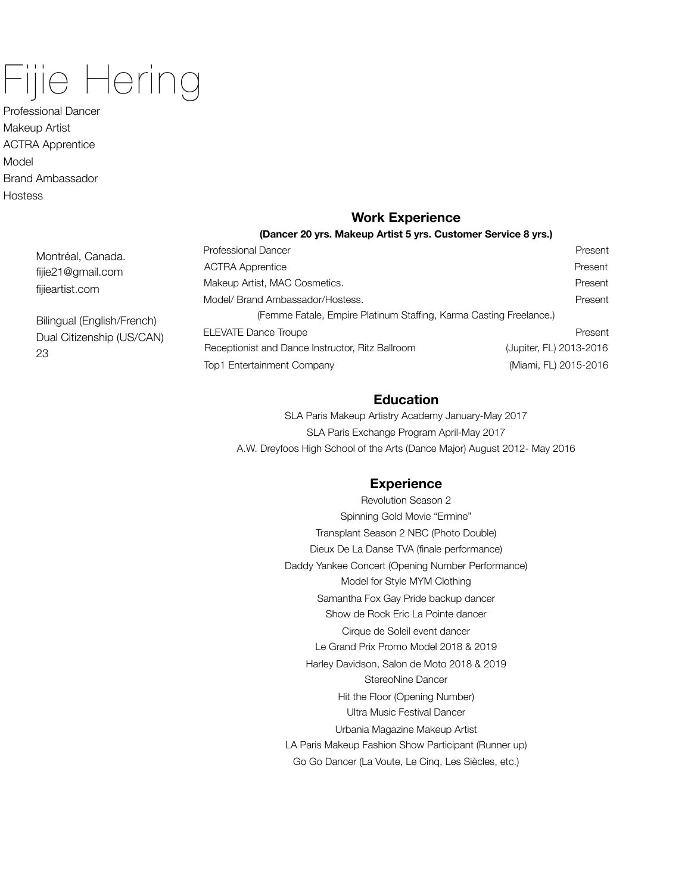# Fijie Hering

Professional Dancer Makeup Artist ACTRA Apprentice Model Brand Ambassador **Hostess** 

## **Work Experience**

#### **(Dancer 20 yrs. Makeup Artist 5 yrs. Customer Service 8 yrs.)**

| <b>Professional Dancer</b>                                         | Present                 |
|--------------------------------------------------------------------|-------------------------|
| <b>ACTRA Apprentice</b>                                            | Present                 |
| Makeup Artist, MAC Cosmetics.                                      | Present                 |
| Model/ Brand Ambassador/Hostess.                                   | Present                 |
| (Femme Fatale, Empire Platinum Staffing, Karma Casting Freelance.) |                         |
| <b>ELEVATE Dance Troupe</b>                                        | Present                 |
| Receptionist and Dance Instructor, Ritz Ballroom                   | (Jupiter, FL) 2013-2016 |
| Top1 Entertainment Company                                         | (Miami, FL) 2015-2016   |

## **Education**

SLA Paris Makeup Artistry Academy January-May 2017 SLA Paris Exchange Program April-May 2017 A.W. Dreyfoos High School of the Arts (Dance Major) August 2012- May 2016

## **Experience**

Revolution Season 2 Spinning Gold Movie "Ermine" Transplant Season 2 NBC (Photo Double) Dieux De La Danse TVA (finale performance) Daddy Yankee Concert (Opening Number Performance) Model for Style MYM Clothing Samantha Fox Gay Pride backup dancer Show de Rock Eric La Pointe dancer Cirque de Soleil event dancer Le Grand Prix Promo Model 2018 & 2019 Harley Davidson, Salon de Moto 2018 & 2019 StereoNine Dancer Hit the Floor (Opening Number) Ultra Music Festival Dancer Urbania Magazine Makeup Artist LA Paris Makeup Fashion Show Participant (Runner up) Go Go Dancer (La Voute, Le Cinq, Les Siècles, etc.)

Montréal, Canada. fijie21@gmail.com fijieartist.com

Bilingual (English/French) Dual Citizenship (US/CAN) 23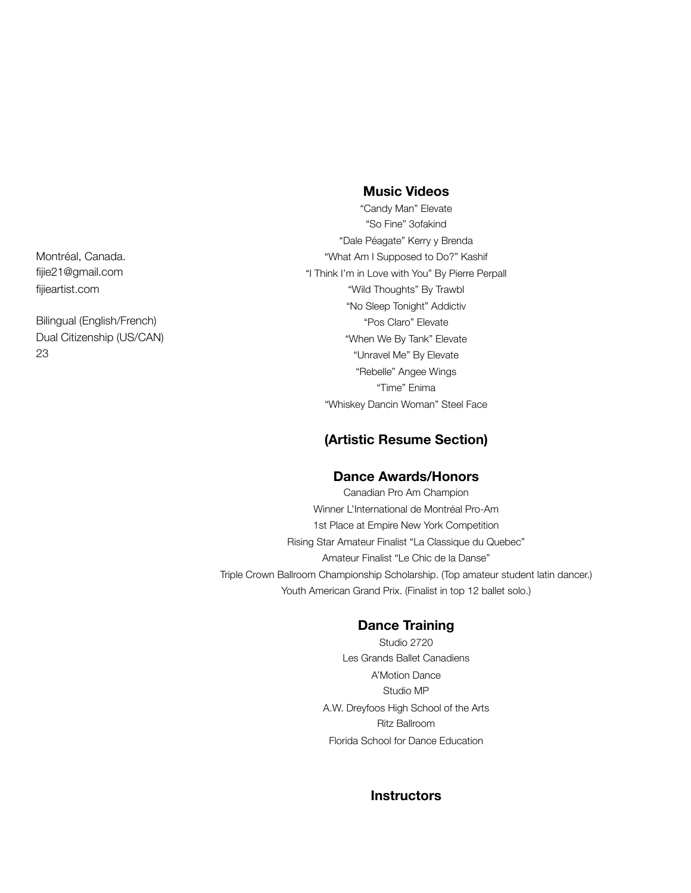**Music Videos**

"Candy Man" Elevate "So Fine" 3ofakind "Dale Péagate" Kerry y Brenda "What Am I Supposed to Do?" Kashif "I Think I'm in Love with You" By Pierre Perpall "Wild Thoughts" By Trawbl "No Sleep Tonight" Addictiv "Pos Claro" Elevate "When We By Tank" Elevate "Unravel Me" By Elevate "Rebelle" Angee Wings "Time" Enima "Whiskey Dancin Woman" Steel Face

## **(Artistic Resume Section)**

#### **Dance Awards/Honors**

Canadian Pro Am Champion Winner L'International de Montréal Pro-Am 1st Place at Empire New York Competition Rising Star Amateur Finalist "La Classique du Quebec" Amateur Finalist "Le Chic de la Danse" Triple Crown Ballroom Championship Scholarship. (Top amateur student latin dancer.) Youth American Grand Prix. (Finalist in top 12 ballet solo.)

## **Dance Training**

Studio 2720 Les Grands Ballet Canadiens A'Motion Dance Studio MP A.W. Dreyfoos High School of the Arts Ritz Ballroom Florida School for Dance Education

## **Instructors**

Montréal, Canada. fijie21@gmail.com fijieartist.com

Bilingual (English/French) Dual Citizenship (US/CAN) 23